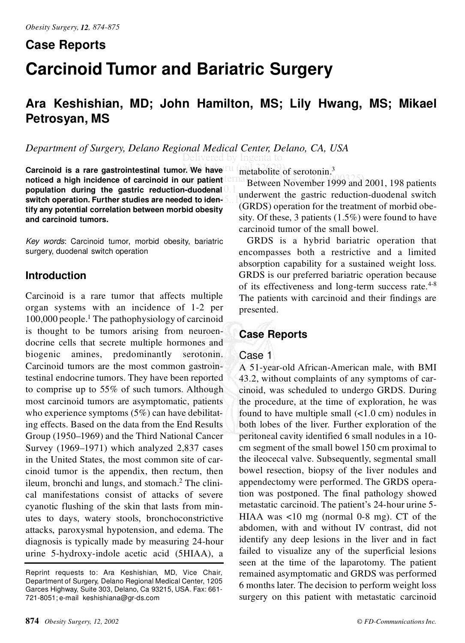# **Case Reports Carcinoid Tumor and Bariatric Surgery**

# **Ara Keshishian, MD; John Hamilton, MS; Lily Hwang, MS; Mikael Petrosyan, MS**

Delivered by Ingenta to *Department of Surgery, Delano Regional Medical Center, Delano, CA, USA*

population during the gastric reduction-duodenal 0.1 and **Carcinoid is a rare gastrointestinal tumor. We have noticed a high incidence of carcinoid in our patient switch operation. Further studies are needed to identify any potential correlation between morbid obesity and carcinoid tumors.**

*Key words*: Carcinoid tumor, morbid obesity, bariatric surgery, duodenal switch operation

## **Introduction**

Carcinoid is a rare tumor that affects multiple organ systems with an incidence of 1-2 per  $100,000$  people.<sup>1</sup> The pathophysiology of carcinoid is thought to be tumors arising from neuroendocrine cells that secrete multiple hormones and biogenic amines, predominantly serotonin. Carcinoid tumors are the most common gastrointestinal endocrine tumors. They have been reported to comprise up to 55% of such tumors. Although most carcinoid tumors are asymptomatic, patients who experience symptoms  $(5\%)$  can have debilitating effects. Based on the data from the End Results Group (1950–1969) and the Third National Cancer Survey (1969–1971) which analyzed 2,837 cases in the United States, the most common site of carcinoid tumor is the appendix, then rectum, then ileum, bronchi and lungs, and stomach. $<sup>2</sup>$  The clini-</sup> cal manifestations consist of attacks of severe cyanotic flushing of the skin that lasts from minutes to days, watery stools, bronchoconstrictive attacks, paroxysmal hypotension, and edema. The diagnosis is typically made by measuring 24-hour urine 5-hydroxy-indole acetic acid (5HIAA), a

r. We have  $\frac{m}{2}$  metabolite of serotonin.<sup>3</sup>

our patient **internal Between November 1999** and 2001, 198 patients  $\theta$  to iden-5... (GRDS) operation for the treatment of morbid obeunderwent the gastric reduction-duodenal switch sity. Of these, 3 patients (1.5%) were found to have carcinoid tumor of the small bowel.

> GRDS is a hybrid bariatric operation that encompasses both a restrictive and a limited absorption capability for a sustained weight loss. GRDS is our preferred bariatric operation because of its effectiveness and long-term success rate.<sup>4-8</sup> The patients with carcinoid and their findings are presented.

# **Case Reports**

### Case 1

A 51-year-old African-American male, with BMI 43.2, without complaints of any symptoms of carcinoid, was scheduled to undergo GRDS. During the procedure, at the time of exploration, he was found to have multiple small  $\left($ <1.0 cm) nodules in both lobes of the liver. Further exploration of the peritoneal cavity identified 6 small nodules in a 10 cm segment of the small bowel 150 cm proximal to the ileocecal valve. Subsequently, segmental small bowel resection, biopsy of the liver nodules and appendectomy were performed. The GRDS operation was postponed. The final pathology showed metastatic carcinoid. The patient's 24-hour urine 5- HIAA was <10 mg (normal 0-8 mg). CT of the abdomen, with and without IV contrast, did not identify any deep lesions in the liver and in fact failed to visualize any of the superficial lesions seen at the time of the laparotomy. The patient remained asymptomatic and GRDS was performed 6 months later. The decision to perform weight loss surgery on this patient with metastatic carcinoid

Reprint requests to: Ara Keshishian, MD, Vice Chair, Department of Surgery, Delano Regional Medical Center, 1205 Garces Highway, Suite 303, Delano, Ca 93215, USA. Fax: 661- 721-8051; e-mail keshishiana@gr-ds.com